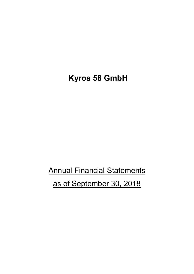## **Kyros 58 GmbH**

**Annual Financial Statements** 

as of September 30, 2018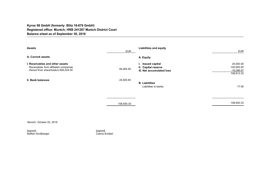## **Kyros 58 GmbH (formerly: Blitz 18-676 GmbH) Registered office: Munich; HRB 241287 Munich District Court Balance sheet as of September 30, 2018**

| <b>Assets</b>                                                                                                    | <b>EUR</b> | <b>Liabilities and equity</b>                                         | <b>EUR</b>                                            |
|------------------------------------------------------------------------------------------------------------------|------------|-----------------------------------------------------------------------|-------------------------------------------------------|
| A. Current assets                                                                                                |            | A. Equity                                                             |                                                       |
| I. Receivables and other assets<br>Receivables from affiliated companies<br>thereof from shareholders €84,004.50 | 84,004.50  | I. Issued capital<br>II. Capital reserve<br>III. Net accumulated loss | 25,000.00<br>100,000.00<br>$-16,086.67$<br>108,913.33 |
| II. Bank balances                                                                                                | 24,925.83  | <b>B.</b> Liabilities<br>Liabilities to banks                         | 17.00                                                 |
|                                                                                                                  | 108,930.33 |                                                                       | 108,930.33                                            |
|                                                                                                                  |            |                                                                       |                                                       |

Munich, October 22, 2018

[signed] [signed] Steffen Großberger Carina Schätzl